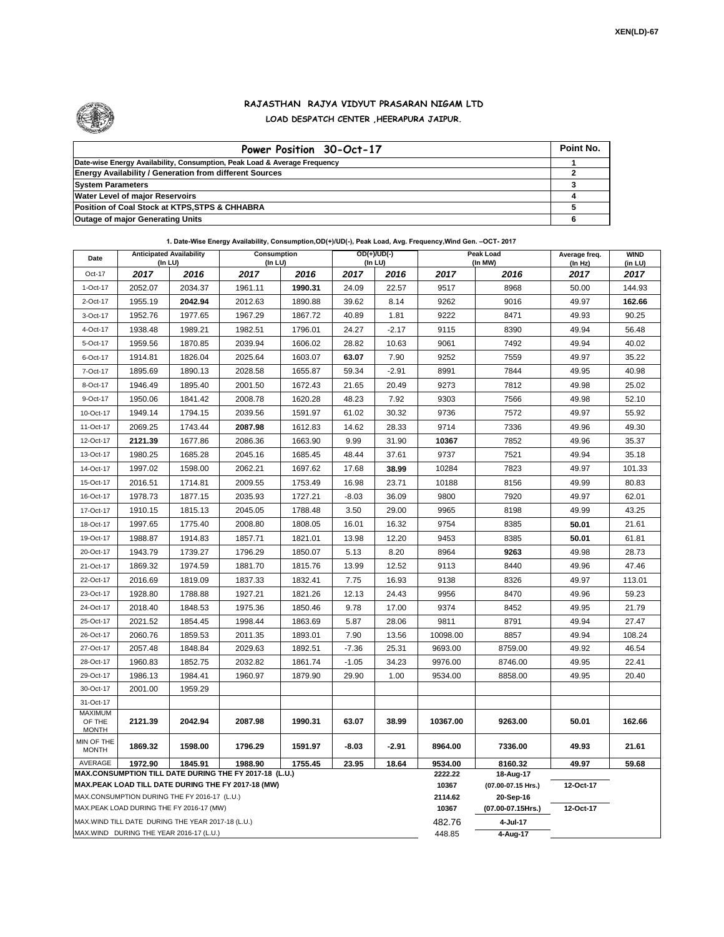

## **RAJASTHAN RAJYA VIDYUT PRASARAN NIGAM LTD LOAD DESPATCH CENTER ,HEERAPURA JAIPUR.**

| Power Position 30-Oct-17                                                  | Point No. |
|---------------------------------------------------------------------------|-----------|
| Date-wise Energy Availability, Consumption, Peak Load & Average Frequency |           |
| <b>Energy Availability / Generation from different Sources</b>            |           |
| <b>System Parameters</b>                                                  |           |
| <b>Water Level of major Reservoirs</b>                                    |           |
| Position of Coal Stock at KTPS, STPS & CHHABRA                            |           |
| <b>Outage of major Generating Units</b>                                   |           |

**1. Date-Wise Energy Availability, Consumption,OD(+)/UD(-), Peak Load, Avg. Frequency,Wind Gen. –OCT- 2017**

| Date                                     | <b>Anticipated Availability</b><br>$($ In LU $)$  |         | OD(+)/UD(-)<br>Consumption<br>(In LU)<br>(In LU)                                                             |                  |                                 | Peak Load<br>(In MW) | Average freq.<br>(In Hz) | <b>WIND</b><br>(in LU) |           |        |  |  |
|------------------------------------------|---------------------------------------------------|---------|--------------------------------------------------------------------------------------------------------------|------------------|---------------------------------|----------------------|--------------------------|------------------------|-----------|--------|--|--|
| Oct-17                                   | 2017                                              | 2016    | 2017                                                                                                         | 2016             | 2017                            | 2016                 | 2017                     | 2016                   | 2017      | 2017   |  |  |
| 1-Oct-17                                 | 2052.07                                           | 2034.37 | 1961.11                                                                                                      | 1990.31          | 24.09                           | 22.57                | 9517                     | 8968                   | 50.00     | 144.93 |  |  |
| 2-Oct-17                                 | 1955.19                                           | 2042.94 | 2012.63                                                                                                      | 1890.88          | 39.62                           | 8.14                 | 9262                     | 9016                   | 49.97     | 162.66 |  |  |
| 3-Oct-17                                 | 1952.76                                           | 1977.65 | 1967.29                                                                                                      | 1867.72          | 40.89                           | 1.81                 | 9222                     | 8471                   | 49.93     | 90.25  |  |  |
| 4-Oct-17                                 | 1938.48                                           | 1989.21 | 1982.51                                                                                                      | 1796.01          | 24.27                           | $-2.17$              | 9115                     | 8390                   | 49.94     | 56.48  |  |  |
| 5-Oct-17                                 | 1959.56                                           | 1870.85 | 2039.94                                                                                                      | 1606.02          | 28.82                           | 10.63                | 9061                     | 7492                   | 49.94     | 40.02  |  |  |
| 6-Oct-17                                 | 1914.81                                           | 1826.04 | 2025.64                                                                                                      | 1603.07          | 63.07                           | 7.90                 | 9252                     | 7559                   | 49.97     | 35.22  |  |  |
| 7-Oct-17                                 | 1895.69                                           | 1890.13 | 2028.58                                                                                                      | 1655.87          | 59.34                           | $-2.91$              | 8991                     | 7844                   | 49.95     | 40.98  |  |  |
| 8-Oct-17                                 | 1946.49                                           | 1895.40 | 2001.50                                                                                                      | 1672.43          | 21.65                           | 20.49                | 9273                     | 7812                   | 49.98     | 25.02  |  |  |
| 9-Oct-17                                 | 1950.06                                           | 1841.42 | 2008.78                                                                                                      | 1620.28          | 48.23                           | 7.92                 | 9303                     | 7566                   | 49.98     | 52.10  |  |  |
| 10-Oct-17                                | 1949.14                                           | 1794.15 | 2039.56                                                                                                      | 1591.97          | 61.02                           | 30.32                | 9736                     | 7572                   | 49.97     | 55.92  |  |  |
| 11-Oct-17                                | 2069.25                                           | 1743.44 | 2087.98                                                                                                      | 1612.83          | 14.62                           | 28.33                | 9714                     | 7336                   | 49.96     | 49.30  |  |  |
| 12-Oct-17                                | 2121.39                                           | 1677.86 | 2086.36                                                                                                      | 1663.90          | 9.99                            | 31.90                | 10367                    | 7852                   | 49.96     | 35.37  |  |  |
| 13-Oct-17                                | 1980.25                                           | 1685.28 | 2045.16                                                                                                      | 1685.45          | 48.44                           | 37.61                | 9737                     | 7521                   | 49.94     | 35.18  |  |  |
| 14-Oct-17                                | 1997.02                                           | 1598.00 | 2062.21                                                                                                      | 1697.62          | 17.68                           | 38.99                | 10284                    | 7823                   | 49.97     | 101.33 |  |  |
| 15-Oct-17                                | 2016.51                                           | 1714.81 | 2009.55                                                                                                      | 1753.49          | 16.98                           | 23.71                | 10188                    | 8156                   | 49.99     | 80.83  |  |  |
| 16-Oct-17                                | 1978.73                                           | 1877.15 | 2035.93                                                                                                      | 1727.21          | $-8.03$                         | 36.09                | 9800                     | 7920                   | 49.97     | 62.01  |  |  |
| 17-Oct-17                                | 1910.15                                           | 1815.13 | 2045.05                                                                                                      | 1788.48          | 3.50                            | 29.00                | 9965                     | 8198                   | 49.99     | 43.25  |  |  |
| 18-Oct-17                                | 1997.65                                           | 1775.40 | 2008.80                                                                                                      | 1808.05          | 16.01                           | 16.32                | 9754                     | 8385                   | 50.01     | 21.61  |  |  |
| 19-Oct-17                                | 1988.87                                           | 1914.83 | 1857.71                                                                                                      | 1821.01          | 13.98                           | 12.20                | 9453                     | 8385                   | 50.01     | 61.81  |  |  |
| 20-Oct-17                                | 1943.79                                           | 1739.27 | 1796.29                                                                                                      | 1850.07          | 5.13                            | 8.20                 | 8964                     | 9263                   | 49.98     | 28.73  |  |  |
| 21-Oct-17                                | 1869.32                                           | 1974.59 | 1881.70                                                                                                      | 1815.76          | 13.99                           | 12.52                | 9113                     | 8440                   | 49.96     | 47.46  |  |  |
| 22-Oct-17                                | 2016.69                                           | 1819.09 | 1837.33                                                                                                      | 1832.41          | 7.75                            | 16.93                | 9138                     | 8326                   | 49.97     | 113.01 |  |  |
| 23-Oct-17                                | 1928.80                                           | 1788.88 | 1927.21                                                                                                      | 1821.26          | 12.13                           | 24.43                | 9956                     | 8470                   | 49.96     | 59.23  |  |  |
| 24-Oct-17                                | 2018.40                                           | 1848.53 | 1975.36                                                                                                      | 1850.46          | 9.78                            | 17.00                | 9374                     | 8452                   | 49.95     | 21.79  |  |  |
| 25-Oct-17                                | 2021.52                                           | 1854.45 | 1998.44                                                                                                      | 1863.69          | 5.87                            | 28.06                | 9811                     | 8791                   | 49.94     | 27.47  |  |  |
| 26-Oct-17                                | 2060.76                                           | 1859.53 | 2011.35                                                                                                      | 1893.01          | 7.90                            | 13.56                | 10098.00                 | 8857                   | 49.94     | 108.24 |  |  |
| 27-Oct-17                                | 2057.48                                           | 1848.84 | 2029.63                                                                                                      | 1892.51          | $-7.36$                         | 25.31                | 9693.00                  | 8759.00                | 49.92     | 46.54  |  |  |
| 28-Oct-17                                | 1960.83                                           | 1852.75 | 2032.82                                                                                                      | 1861.74          | $-1.05$                         | 34.23                | 9976.00                  | 8746.00                | 49.95     | 22.41  |  |  |
| 29-Oct-17                                | 1986.13                                           | 1984.41 | 1960.97                                                                                                      | 1879.90          | 29.90                           | 1.00                 | 9534.00                  | 8858.00                | 49.95     | 20.40  |  |  |
| 30-Oct-17                                | 2001.00                                           | 1959.29 |                                                                                                              |                  |                                 |                      |                          |                        |           |        |  |  |
| 31-Oct-17                                |                                                   |         |                                                                                                              |                  |                                 |                      |                          |                        |           |        |  |  |
| <b>MAXIMUM</b><br>OF THE<br><b>MONTH</b> | 2121.39                                           | 2042.94 | 2087.98                                                                                                      | 1990.31          | 63.07                           | 38.99                | 10367.00                 | 9263.00                | 50.01     | 162.66 |  |  |
| MIN OF THE<br><b>MONTH</b>               | 1869.32                                           | 1598.00 | 1796.29                                                                                                      | 1591.97          | -8.03                           | $-2.91$              | 8964.00                  | 7336.00                | 49.93     | 21.61  |  |  |
| <b>AVERAGE</b>                           | 1972.90                                           | 1845.91 | 1988.90                                                                                                      | 18.64            | 9534.00                         | 8160.32              | 49.97                    | 59.68                  |           |        |  |  |
|                                          |                                                   |         | MAX.CONSUMPTION TILL DATE DURING THE FY 2017-18 (L.U.)<br>MAX.PEAK LOAD TILL DATE DURING THE FY 2017-18 (MW) | 2222.22<br>10367 | 18-Aug-17<br>(07.00-07.15 Hrs.) | 12-Oct-17            |                          |                        |           |        |  |  |
|                                          | MAX.CONSUMPTION DURING THE FY 2016-17 (L.U.)      |         |                                                                                                              |                  |                                 |                      | 2114.62                  | 20-Sep-16              |           |        |  |  |
|                                          | MAX.PEAK LOAD DURING THE FY 2016-17 (MW)          |         |                                                                                                              |                  |                                 |                      | 10367                    | (07.00-07.15Hrs.)      | 12-Oct-17 |        |  |  |
|                                          | MAX.WIND TILL DATE DURING THE YEAR 2017-18 (L.U.) |         |                                                                                                              |                  |                                 |                      | 482.76                   | 4-Jul-17               |           |        |  |  |
|                                          | MAX.WIND DURING THE YEAR 2016-17 (L.U.)           |         |                                                                                                              | 448.85           | 4-Aug-17                        |                      |                          |                        |           |        |  |  |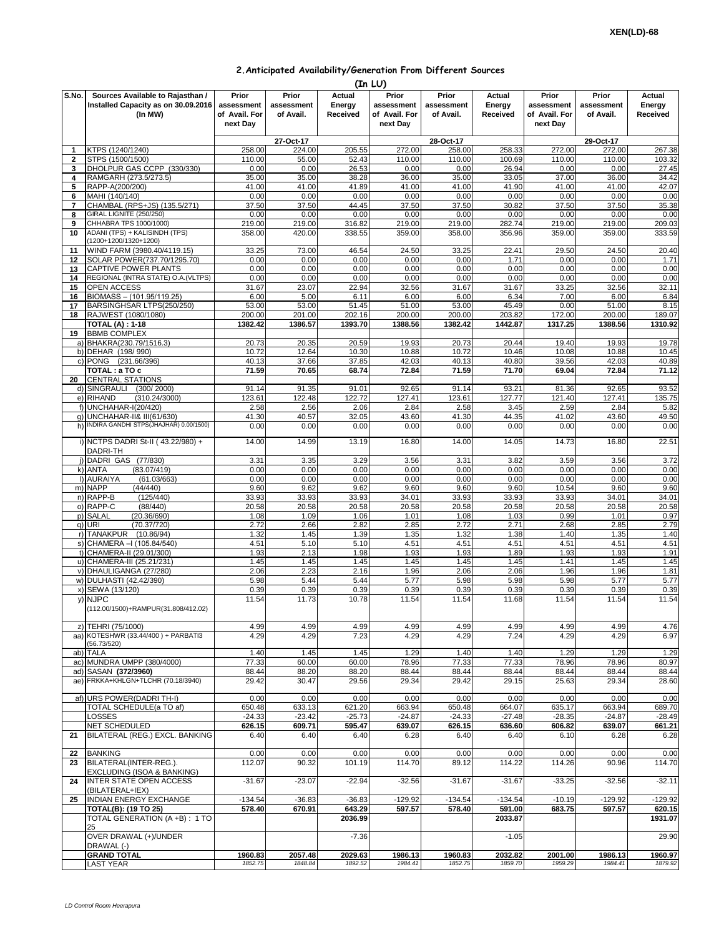| 2. Anticipated Availability/Generation From Different Sources |  |  |  |  |  |
|---------------------------------------------------------------|--|--|--|--|--|
|---------------------------------------------------------------|--|--|--|--|--|

|                     |                                                                                    |                                                  |                                  |                              | (In LU)                                          |                                  |                              |                                                  |                                  |                              |
|---------------------|------------------------------------------------------------------------------------|--------------------------------------------------|----------------------------------|------------------------------|--------------------------------------------------|----------------------------------|------------------------------|--------------------------------------------------|----------------------------------|------------------------------|
| S.No.               | Sources Available to Rajasthan /<br>Installed Capacity as on 30.09.2016<br>(In MW) | Prior<br>assessment<br>of Avail. For<br>next Day | Prior<br>assessment<br>of Avail. | Actual<br>Energy<br>Received | Prior<br>assessment<br>of Avail. For<br>next Day | Prior<br>assessment<br>of Avail. | Actual<br>Energy<br>Received | Prior<br>assessment<br>of Avail. For<br>next Day | Prior<br>assessment<br>of Avail. | Actual<br>Energy<br>Received |
|                     |                                                                                    |                                                  | 27-Oct-17                        |                              |                                                  | 28-Oct-17                        |                              |                                                  | 29-Oct-17                        |                              |
| 1                   | KTPS (1240/1240)                                                                   | 258.00                                           | 224.00                           | 205.55                       | 272.00                                           | 258.00                           | 258.33                       | 272.00                                           | 272.00                           | 267.38                       |
| $\mathbf{2}$<br>3   | STPS (1500/1500)<br>DHOLPUR GAS CCPP (330/330)                                     | 110.00<br>0.00                                   | 55.00<br>0.00                    | 52.43<br>26.53               | 110.00<br>0.00                                   | 110.00<br>0.00                   | 100.69<br>26.94              | 110.00<br>0.00                                   | 110.00<br>0.00                   | 103.32<br>27.45              |
| 4                   | RAMGARH (273.5/273.5)                                                              | 35.00                                            | 35.00                            | 38.28                        | 36.00                                            | 35.00                            | 33.05                        | 37.00                                            | 36.00                            | 34.42                        |
| 5                   | RAPP-A(200/200)                                                                    | 41.00                                            | 41.00                            | 41.89                        | 41.00                                            | 41.00                            | 41.90                        | 41.00                                            | 41.00                            | 42.07                        |
| 6                   | MAHI (140/140)                                                                     | 0.00                                             | 0.00                             | 0.00                         | 0.00                                             | 0.00                             | 0.00                         | 0.00                                             | 0.00                             | 0.00                         |
| $\overline{7}$<br>8 | CHAMBAL (RPS+JS) (135.5/271)<br><b>GIRAL LIGNITE (250/250)</b>                     | 37.50<br>0.00                                    | 37.50<br>0.00                    | 44.45<br>0.00                | 37.50<br>0.00                                    | 37.50<br>0.00                    | 30.82<br>0.00                | 37.50<br>0.00                                    | 37.50<br>0.00                    | 35.38<br>0.00                |
| 9                   | CHHABRA TPS 1000/1000)                                                             | 219.00                                           | 219.00                           | 316.82                       | 219.00                                           | 219.00                           | 282.74                       | 219.00                                           | 219.00                           | 209.03                       |
| 10                  | ADANI (TPS) + KALISINDH (TPS)                                                      | 358.00                                           | 420.00                           | 338.55                       | 359.00                                           | 358.00                           | 356.96                       | 359.00                                           | 359.00                           | 333.59                       |
|                     | (1200+1200/1320+1200)                                                              |                                                  |                                  | 46.54                        |                                                  |                                  |                              |                                                  |                                  |                              |
| 11<br>12            | WIND FARM (3980.40/4119.15)<br>SOLAR POWER(737.70/1295.70)                         | 33.25<br>0.00                                    | 73.00<br>0.00                    | 0.00                         | 24.50<br>0.00                                    | 33.25<br>0.00                    | 22.41<br>1.71                | 29.50<br>0.00                                    | 24.50<br>0.00                    | 20.40<br>1.71                |
| 13                  | CAPTIVE POWER PLANTS                                                               | 0.00                                             | 0.00                             | 0.00                         | 0.00                                             | 0.00                             | 0.00                         | 0.00                                             | 0.00                             | 0.00                         |
| 14                  | REGIONAL (INTRA STATE) O.A. (VLTPS)                                                | 0.00                                             | 0.00                             | 0.00                         | 0.00                                             | 0.00                             | 0.00                         | 0.00                                             | 0.00                             | 0.00                         |
| 15                  | OPEN ACCESS                                                                        | 31.67                                            | 23.07                            | 22.94                        | 32.56                                            | 31.67                            | 31.67                        | 33.25                                            | 32.56                            | 32.11                        |
| 16<br>17            | BIOMASS - (101.95/119.25)<br>BARSINGHSAR LTPS(250/250)                             | 6.00<br>53.00                                    | 5.00<br>53.00                    | 6.11<br>51.45                | 6.00<br>51.00                                    | 6.00<br>53.00                    | 6.34<br>45.49                | 7.00<br>0.00                                     | 6.00<br>51.00                    | 6.84<br>8.15                 |
| 18                  | RAJWEST (1080/1080)                                                                | 200.00                                           | 201.00                           | 202.16                       | 200.00                                           | 200.00                           | 203.82                       | 172.00                                           | 200.00                           | 189.07                       |
|                     | <b>TOTAL (A): 1-18</b>                                                             | 1382.42                                          | 1386.57                          | 1393.70                      | 1388.56                                          | 1382.42                          | 1442.87                      | 1317.25                                          | 1388.56                          | 1310.92                      |
| 19                  | <b>BBMB COMPLEX</b>                                                                |                                                  |                                  |                              |                                                  |                                  |                              |                                                  |                                  |                              |
|                     | a) BHAKRA(230.79/1516.3)                                                           | 20.73                                            | 20.35                            | 20.59                        | 19.93                                            | 20.73                            | 20.44                        | 19.40                                            | 19.93                            | 19.78                        |
|                     | b) DEHAR (198/990)<br>c) PONG (231.66/396)                                         | 10.72<br>40.13                                   | 12.64<br>37.66                   | 10.30<br>37.85               | 10.88<br>42.03                                   | 10.72<br>40.13                   | 10.46<br>40.80               | 10.08<br>39.56                                   | 10.88<br>42.03                   | 10.45<br>40.89               |
|                     | TOTAL: a TO c                                                                      | 71.59                                            | 70.65                            | 68.74                        | 72.84                                            | 71.59                            | 71.70                        | 69.04                                            | 72.84                            | 71.12                        |
| 20                  | <b>CENTRAL STATIONS</b>                                                            |                                                  |                                  |                              |                                                  |                                  |                              |                                                  |                                  |                              |
|                     | d) SINGRAULI (300/2000)                                                            | 91.14                                            | 91.35                            | 91.01                        | 92.65                                            | 91.14                            | 93.21                        | 81.36                                            | 92.65                            | 93.52                        |
|                     | e) RIHAND<br>(310.24/3000)                                                         | 123.61                                           | 122.48                           | 122.72                       | 127.41                                           | 123.61                           | 127.77                       | 121.40                                           | 127.41                           | 135.75                       |
|                     | f) UNCHAHAR-I(20/420)<br>q) UNCHAHAR-II& III(61/630)                               | 2.58<br>41.30                                    | 2.56<br>40.57                    | 2.06<br>32.05                | 2.84<br>43.60                                    | 2.58<br>41.30                    | 3.45<br>44.35                | 2.59<br>41.02                                    | 2.84<br>43.60                    | 5.82<br>49.50                |
|                     | h) INDIRA GANDHI STPS(JHAJHAR) 0.00/1500)                                          | 0.00                                             | 0.00                             | 0.00                         | 0.00                                             | 0.00                             | 0.00                         | 0.00                                             | 0.00                             | 0.00                         |
|                     | i) NCTPS DADRI St-II (43.22/980) +<br>DADRI-TH                                     | 14.00                                            | 14.99                            | 13.19                        | 16.80                                            | 14.00                            | 14.05                        | 14.73                                            | 16.80                            | 22.51                        |
|                     | j) DADRI GAS (77/830)                                                              | 3.31                                             | 3.35                             | 3.29                         | 3.56                                             | 3.31                             | 3.82                         | 3.59                                             | 3.56                             | 3.72                         |
|                     | (83.07/419)<br>k) ANTA                                                             | 0.00                                             | 0.00                             | 0.00                         | 0.00                                             | 0.00                             | 0.00                         | 0.00                                             | 0.00                             | 0.00                         |
|                     | I) AURAIYA<br>(61.03/663)                                                          | 0.00                                             | 0.00                             | 0.00                         | 0.00                                             | 0.00                             | 0.00                         | 0.00                                             | 0.00                             | 0.00                         |
|                     | (44/440)<br>m) NAPP                                                                | 9.60                                             | 9.62                             | 9.62                         | 9.60                                             | 9.60                             | 9.60                         | 10.54                                            | 9.60                             | 9.60<br>34.01                |
|                     | n) RAPP-B<br>(125/440)<br>o) RAPP-C<br>(88/440)                                    | 33.93<br>20.58                                   | 33.93<br>20.58                   | 33.93<br>20.58               | 34.01<br>20.58                                   | 33.93<br>20.58                   | 33.93<br>20.58               | 33.93<br>20.58                                   | 34.01<br>20.58                   | 20.58                        |
|                     | p) SALAL<br>(20.36/690)                                                            | 1.08                                             | 1.09                             | 1.06                         | 1.01                                             | 1.08                             | 1.03                         | 0.99                                             | 1.01                             | 0.97                         |
|                     | q) URI<br>(70.37/720)                                                              | 2.72                                             | 2.66                             | 2.82                         | 2.85                                             | 2.72                             | 2.71                         | 2.68                                             | 2.85                             | 2.79                         |
|                     | r) TANAKPUR (10.86/94)                                                             | 1.32                                             | 1.45                             | 1.39                         | 1.35                                             | 1.32                             | 1.38                         | 1.40                                             | 1.35                             | 1.40                         |
|                     | s) CHAMERA - 1 (105.84/540)<br>t) CHAMERA-II (29.01/300)                           | 4.51<br>1.93                                     | 5.10<br>2.13                     | 5.10<br>1.98                 | 4.51<br>1.93                                     | 4.51<br>1.93                     | 4.51<br>1.89                 | 4.51<br>1.93                                     | 4.51<br>1.93                     | 4.51<br>1.91                 |
|                     | u) CHAMERA-III (25.21/231)                                                         | 1.45                                             | 1.45                             | 1.45                         | 1.45                                             | 1.45                             | 1.45                         | 1.41                                             | 1.45                             | 1.45                         |
|                     | v) DHAULIGANGA (27/280)                                                            | 2.06                                             | 2.23                             | 2.16                         | 1.96                                             | 2.06                             | 2.06                         | 1.96                                             | 1.96                             | 1.81                         |
|                     | w) DULHASTI (42.42/390)                                                            | 5.98                                             | 5.44                             | 5.44                         | 5.77                                             | 5.98                             | 5.98                         | 5.98                                             | 5.77                             | 5.77                         |
|                     | x) SEWA (13/120)                                                                   | 0.39                                             | 0.39                             | 0.39                         | 0.39                                             | 0.39                             | 0.39                         | 0.39                                             | 0.39                             | 0.39                         |
|                     | y) NJPC<br>(112.00/1500)+RAMPUR(31.808/412.02)                                     | 11.54                                            | 11.73                            | 10.78                        | 11.54                                            | 11.54                            | 11.68                        | 11.54                                            | 11.54                            | 11.54                        |
|                     | z) TEHRI (75/1000)                                                                 | 4.99                                             | 4.99                             | 4.99                         | 4.99                                             | 4.99                             | 4.99                         | 4.99                                             | 4.99                             | 4.76                         |
|                     | aa) KOTESHWR (33.44/400) + PARBATI3<br>(56.73/520)                                 | 4.29                                             | 4.29                             | 7.23                         | 4.29                                             | 4.29                             | 7.24                         | 4.29                                             | 4.29                             | 6.97                         |
|                     | ab) TALA                                                                           | 1.40                                             | 1.45                             | 1.45                         | 1.29                                             | 1.40                             | 1.40                         | 1.29                                             | 1.29                             | 1.29                         |
|                     | ac) MUNDRA UMPP (380/4000)                                                         | 77.33                                            | 60.00                            | 60.00                        | 78.96                                            | 77.33                            | 77.33                        | 78.96                                            | 78.96                            | 80.97                        |
|                     | ad) SASAN (372/3960)                                                               | 88.44                                            | 88.20                            | 88.20                        | 88.44                                            | 88.44                            | 88.44                        | 88.44                                            | 88.44                            | 88.44                        |
|                     | ae) FRKKA+KHLGN+TLCHR (70.18/3940)                                                 | 29.42                                            | 30.47                            | 29.56                        | 29.34                                            | 29.42                            | 29.15                        | 25.63                                            | 29.34                            | 28.60                        |
|                     | af) URS POWER(DADRI TH-I)                                                          | 0.00                                             | 0.00                             | 0.00                         | 0.00                                             | 0.00                             | 0.00                         | 0.00                                             | 0.00                             | 0.00                         |
|                     | TOTAL SCHEDULE(a TO af)                                                            | 650.48                                           | 633.13                           | 621.20                       | 663.94                                           | 650.48                           | 664.07                       | 635.17                                           | 663.94                           | 689.70                       |
|                     | LOSSES                                                                             | $-24.33$                                         | $-23.42$                         | $-25.73$                     | $-24.87$                                         | $-24.33$                         | $-27.48$                     | $-28.35$                                         | $-24.87$                         | $-28.49$                     |
|                     | NET SCHEDULED                                                                      | 626.15                                           | 609.71                           | 595.47                       | 639.07                                           | 626.15                           | 636.60                       | 606.82                                           | 639.07                           | 661.21                       |
| 21                  | BILATERAL (REG.) EXCL. BANKING                                                     | 6.40                                             | 6.40                             | 6.40                         | 6.28                                             | 6.40                             | 6.40                         | 6.10                                             | 6.28                             | 6.28                         |
| 22                  | <b>BANKING</b>                                                                     | 0.00                                             | 0.00                             | 0.00                         | 0.00                                             | 0.00                             | 0.00                         | 0.00                                             | 0.00                             | 0.00                         |
| 23                  | BILATERAL(INTER-REG.).<br>EXCLUDING (ISOA & BANKING)                               | 112.07                                           | 90.32                            | 101.19                       | 114.70                                           | 89.12                            | 114.22                       | 114.26                                           | 90.96                            | 114.70                       |
| 24<br>25            | <b>INTER STATE OPEN ACCESS</b><br>(BILATERAL+IEX)<br>INDIAN ENERGY EXCHANGE        | $-31.67$<br>$-134.54$                            | $-23.07$                         | $-22.94$<br>$-36.83$         | $-32.56$<br>$-129.92$                            | $-31.67$<br>$-134.54$            | $-31.67$<br>$-134.54$        | $-33.25$<br>$-10.19$                             | $-32.56$<br>$-129.92$            | $-32.11$<br>-129.92          |
|                     | TOTAL(B): (19 TO 25)                                                               | 578.40                                           | $-36.83$<br>670.91               | 643.29                       | 597.57                                           | 578.40                           | 591.00                       | 683.75                                           | 597.57                           | 620.15                       |
|                     | TOTAL GENERATION (A +B) : 1 TO                                                     |                                                  |                                  | 2036.99                      |                                                  |                                  | 2033.87                      |                                                  |                                  | 1931.07                      |
|                     | 25<br>OVER DRAWAL (+)/UNDER                                                        |                                                  |                                  | $-7.36$                      |                                                  |                                  | $-1.05$                      |                                                  |                                  | 29.90                        |
|                     | DRAWAL (-)<br><b>GRAND TOTAL</b>                                                   | 1960.83                                          | 2057.48                          | 2029.63                      | 1986.13                                          | 1960.83                          | 2032.82                      | 2001.00                                          | 1986.13                          | 1960.97                      |
|                     | LAST YEAR                                                                          | 1852.75                                          | 1848.84                          | 1892.52                      | 1984.41                                          | 1852.75                          | 1859.70                      | 1959.29                                          | 1984.41                          | 1879.92                      |